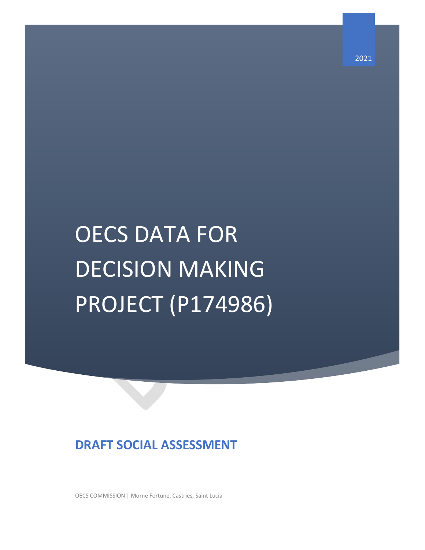# OECS DATA FOR DECISION MAKING PROJECT (P174986)

# **DRAFT SOCIAL ASSESSMENT**

OECS COMMISSION | Morne Fortune, Castries, Saint Lucia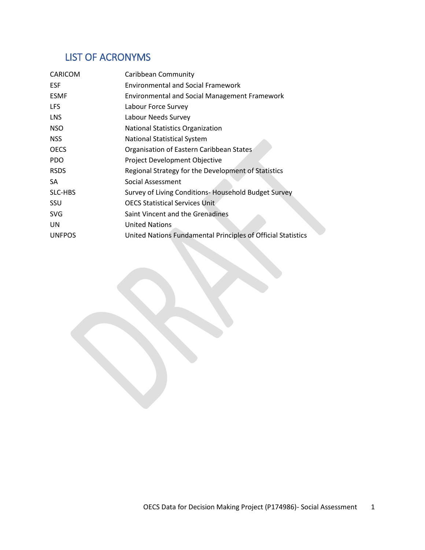# <span id="page-1-0"></span>LIST OF ACRONYMS

| CARICOM       | Caribbean Community                                          |
|---------------|--------------------------------------------------------------|
| <b>ESF</b>    | <b>Environmental and Social Framework</b>                    |
| <b>ESMF</b>   | <b>Environmental and Social Management Framework</b>         |
| <b>LFS</b>    | Labour Force Survey                                          |
| <b>LNS</b>    | Labour Needs Survey                                          |
| <b>NSO</b>    | <b>National Statistics Organization</b>                      |
| <b>NSS</b>    | <b>National Statistical System</b>                           |
| <b>OECS</b>   | Organisation of Eastern Caribbean States                     |
| PDO           | Project Development Objective                                |
| <b>RSDS</b>   | Regional Strategy for the Development of Statistics          |
| SA            | Social Assessment                                            |
| SLC-HBS       | Survey of Living Conditions-Household Budget Survey          |
| <b>SSU</b>    | <b>OECS Statistical Services Unit</b>                        |
| <b>SVG</b>    | Saint Vincent and the Grenadines                             |
| UN.           | <b>United Nations</b>                                        |
| <b>UNFPOS</b> | United Nations Fundamental Principles of Official Statistics |
|               |                                                              |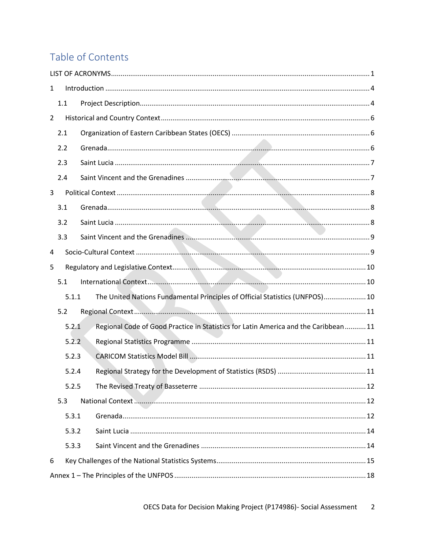# Table of Contents

| $\mathbf{1}$   |       |                                                                                      |  |
|----------------|-------|--------------------------------------------------------------------------------------|--|
|                | 1.1   |                                                                                      |  |
| $\overline{2}$ |       |                                                                                      |  |
|                | 2.1   |                                                                                      |  |
|                | 2.2   |                                                                                      |  |
|                | 2.3   |                                                                                      |  |
|                | 2.4   |                                                                                      |  |
| 3              |       |                                                                                      |  |
|                | 3.1   |                                                                                      |  |
|                | 3.2   |                                                                                      |  |
|                | 3.3   |                                                                                      |  |
| 4              |       |                                                                                      |  |
| 5              |       |                                                                                      |  |
|                | 5.1   |                                                                                      |  |
|                | 5.1.1 | The United Nations Fundamental Principles of Official Statistics (UNFPOS) 10         |  |
|                | 5.2   |                                                                                      |  |
|                | 5.2.1 | Regional Code of Good Practice in Statistics for Latin America and the Caribbean  11 |  |
|                | 5.2.2 |                                                                                      |  |
|                | 5.2.3 |                                                                                      |  |
|                | 5.2.4 |                                                                                      |  |
|                | 5.2.5 |                                                                                      |  |
|                | 5.3   |                                                                                      |  |
|                | 5.3.1 |                                                                                      |  |
|                | 5.3.2 |                                                                                      |  |
|                | 5.3.3 |                                                                                      |  |
| 6              |       |                                                                                      |  |
|                |       |                                                                                      |  |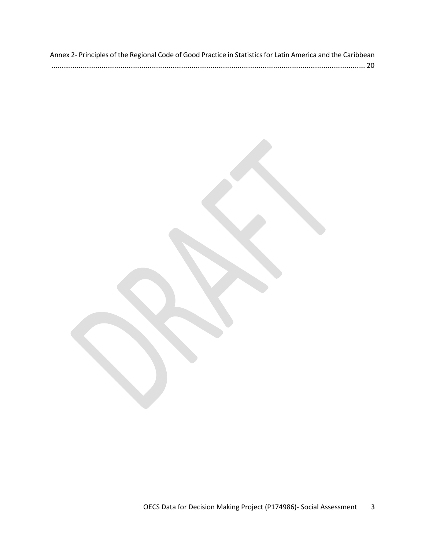| Annex 2- Principles of the Regional Code of Good Practice in Statistics for Latin America and the Caribbean |  |
|-------------------------------------------------------------------------------------------------------------|--|
|                                                                                                             |  |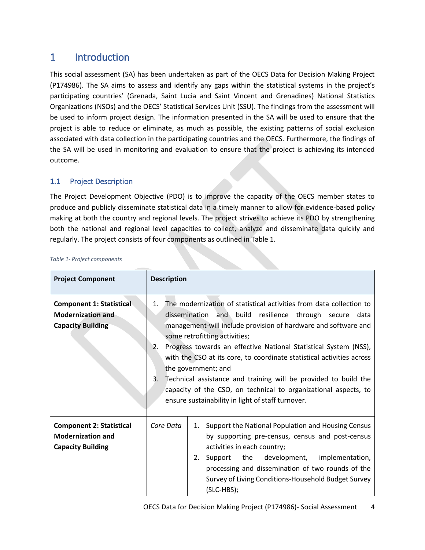# <span id="page-4-0"></span>1 Introduction

This social assessment (SA) has been undertaken as part of the OECS Data for Decision Making Project (P174986). The SA aims to assess and identify any gaps within the statistical systems in the project's participating countries' (Grenada, Saint Lucia and Saint Vincent and Grenadines) National Statistics Organizations (NSOs) and the OECS' Statistical Services Unit (SSU). The findings from the assessment will be used to inform project design. The information presented in the SA will be used to ensure that the project is able to reduce or eliminate, as much as possible, the existing patterns of social exclusion associated with data collection in the participating countries and the OECS. Furthermore, the findings of the SA will be used in monitoring and evaluation to ensure that the project is achieving its intended outcome.

# <span id="page-4-1"></span>1.1 Project Description

The Project Development Objective (PDO) is to improve the capacity of the OECS member states to produce and publicly disseminate statistical data in a timely manner to allow for evidence-based policy making at both the country and regional levels. The project strives to achieve its PDO by strengthening both the national and regional level capacities to collect, analyze and disseminate data quickly and regularly. The project consists of four components as outlined in [Table 1.](#page-4-2)

| <b>Project Component</b>                                                                | <b>Description</b>                                                                                                                                                                                                                                                                                                                                                                                                                                                                                                                                                                                                |  |  |
|-----------------------------------------------------------------------------------------|-------------------------------------------------------------------------------------------------------------------------------------------------------------------------------------------------------------------------------------------------------------------------------------------------------------------------------------------------------------------------------------------------------------------------------------------------------------------------------------------------------------------------------------------------------------------------------------------------------------------|--|--|
| <b>Component 1: Statistical</b><br><b>Modernization and</b><br><b>Capacity Building</b> | The modernization of statistical activities from data collection to<br>1.<br>dissemination and build resilience through secure data<br>management-will include provision of hardware and software and<br>some retrofitting activities;<br>Progress towards an effective National Statistical System (NSS),<br>2.<br>with the CSO at its core, to coordinate statistical activities across<br>the government; and<br>Technical assistance and training will be provided to build the<br>3.<br>capacity of the CSO, on technical to organizational aspects, to<br>ensure sustainability in light of staff turnover. |  |  |
| <b>Component 2: Statistical</b><br><b>Modernization and</b><br><b>Capacity Building</b> | Core Data<br>Support the National Population and Housing Census<br>1.<br>by supporting pre-census, census and post-census<br>activities in each country;<br>Support the development,<br>implementation,<br>2.<br>processing and dissemination of two rounds of the<br>Survey of Living Conditions-Household Budget Survey<br>(SLC-HBS);                                                                                                                                                                                                                                                                           |  |  |

#### <span id="page-4-2"></span>*Table 1- Project components*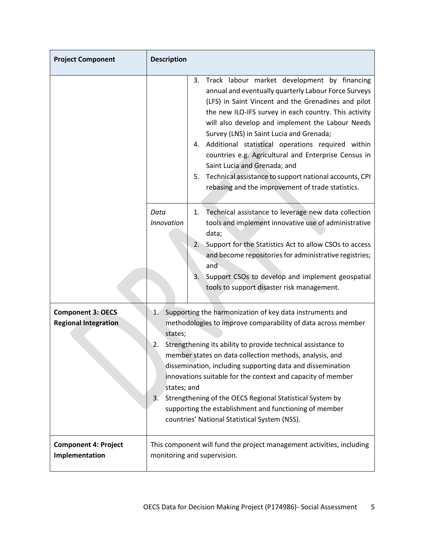| <b>Project Component</b>                                | <b>Description</b>                                                                                                                                                                                                                                                                                                                                                                                                                                                                                                                                                                                  |  |
|---------------------------------------------------------|-----------------------------------------------------------------------------------------------------------------------------------------------------------------------------------------------------------------------------------------------------------------------------------------------------------------------------------------------------------------------------------------------------------------------------------------------------------------------------------------------------------------------------------------------------------------------------------------------------|--|
|                                                         | Track labour market development by financing<br>3.<br>annual and eventually quarterly Labour Force Surveys<br>(LFS) in Saint Vincent and the Grenadines and pilot<br>the new ILO-IFS survey in each country. This activity<br>will also develop and implement the Labour Needs<br>Survey (LNS) in Saint Lucia and Grenada;<br>Additional statistical operations required within<br>4.<br>countries e.g. Agricultural and Enterprise Census in<br>Saint Lucia and Grenada; and<br>Technical assistance to support national accounts, CPI<br>5.<br>rebasing and the improvement of trade statistics.  |  |
|                                                         | Technical assistance to leverage new data collection<br>Data<br>1.<br>tools and implement innovative use of administrative<br><b>Innovation</b><br>data;<br>Support for the Statistics Act to allow CSOs to access<br>2.<br>and become repositories for administrative registries;<br>and<br>Support CSOs to develop and implement geospatial<br>3.<br>tools to support disaster risk management.                                                                                                                                                                                                   |  |
| <b>Component 3: OECS</b><br><b>Regional Integration</b> | Supporting the harmonization of key data instruments and<br>1.<br>methodologies to improve comparability of data across member<br>states;<br>2.<br>Strengthening its ability to provide technical assistance to<br>member states on data collection methods, analysis, and<br>dissemination, including supporting data and dissemination<br>innovations suitable for the context and capacity of member<br>states; and<br>Strengthening of the OECS Regional Statistical System by<br>3.<br>supporting the establishment and functioning of member<br>countries' National Statistical System (NSS). |  |
| <b>Component 4: Project</b><br>Implementation           | This component will fund the project management activities, including<br>monitoring and supervision.                                                                                                                                                                                                                                                                                                                                                                                                                                                                                                |  |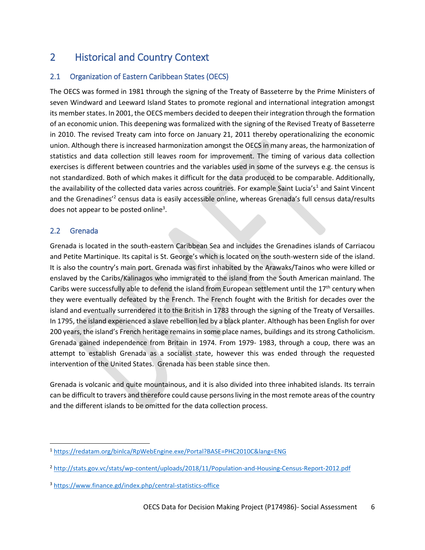# <span id="page-6-0"></span>2 Historical and Country Context

# <span id="page-6-1"></span>2.1 Organization of Eastern Caribbean States (OECS)

The OECS was formed in 1981 through the signing of the Treaty of Basseterre by the Prime Ministers of seven Windward and Leeward Island States to promote regional and international integration amongst its member states. In 2001, the OECS members decided to deepen their integration through the formation of an economic union. This deepening was formalized with the signing of the Revised Treaty of Basseterre in 2010. The revised Treaty cam into force on January 21, 2011 thereby operationalizing the economic union. Although there is increased harmonization amongst the OECS in many areas, the harmonization of statistics and data collection still leaves room for improvement. The timing of various data collection exercises is different between countries and the variables used in some of the surveys e.g. the census is not standardized. Both of which makes it difficult for the data produced to be comparable. Additionally, the availability of the collected data varies across countries. For example Saint Lucia's<sup>1</sup> and Saint Vincent and the Grenadines<sup>'2</sup> census data is easily accessible online, whereas Grenada's full census data/results does not appear to be posted online<sup>3</sup>.

# <span id="page-6-2"></span>2.2 Grenada

l

Grenada is located in the south-eastern Caribbean Sea and includes the Grenadines islands of Carriacou and Petite Martinique. Its capital is St. George's which is located on the south-western side of the island. It is also the country's main port. Grenada was first inhabited by the Arawaks/Tainos who were killed or enslaved by the Caribs/Kalinagos who immigrated to the island from the South American mainland. The Caribs were successfully able to defend the island from European settlement until the  $17<sup>th</sup>$  century when they were eventually defeated by the French. The French fought with the British for decades over the island and eventually surrendered it to the British in 1783 through the signing of the Treaty of Versailles. In 1795, the island experienced a slave rebellion led by a black planter. Although has been English for over 200 years, the island's French heritage remains in some place names, buildings and its strong Catholicism. Grenada gained independence from Britain in 1974. From 1979- 1983, through a coup, there was an attempt to establish Grenada as a socialist state, however this was ended through the requested intervention of the United States. Grenada has been stable since then.

Grenada is volcanic and quite mountainous, and it is also divided into three inhabited islands. Its terrain can be difficult to travers and therefore could cause persons living in the most remote areas of the country and the different islands to be omitted for the data collection process.

<sup>1</sup> <https://redatam.org/binlca/RpWebEngine.exe/Portal?BASE=PHC2010C&lang=ENG>

<sup>&</sup>lt;sup>2</sup> <http://stats.gov.vc/stats/wp-content/uploads/2018/11/Population-and-Housing-Census-Report-2012.pdf>

<sup>3</sup> <https://www.finance.gd/index.php/central-statistics-office>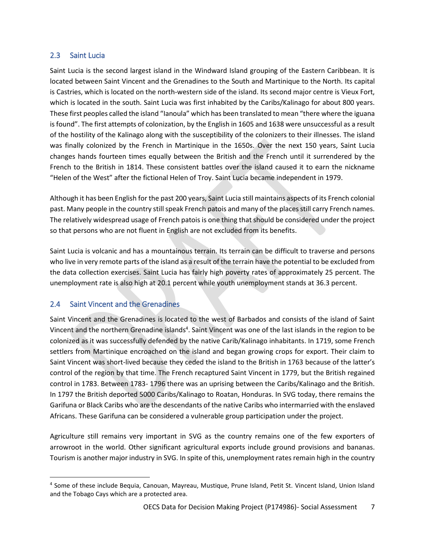### <span id="page-7-0"></span>2.3 Saint Lucia

Saint Lucia is the second largest island in the Windward Island grouping of the Eastern Caribbean. It is located between Saint Vincent and the Grenadines to the South and Martinique to the North. Its capital is Castries, which is located on the north-western side of the island. Its second major centre is Vieux Fort, which is located in the south. Saint Lucia was first inhabited by the Caribs/Kalinago for about 800 years. These first peoples called the island "Ianoula" which has been translated to mean "there where the iguana is found". The first attempts of colonization, by the English in 1605 and 1638 were unsuccessful as a result of the hostility of the Kalinago along with the susceptibility of the colonizers to their illnesses. The island was finally colonized by the French in Martinique in the 1650s. Over the next 150 years, Saint Lucia changes hands fourteen times equally between the British and the French until it surrendered by the French to the British in 1814. These consistent battles over the island caused it to earn the nickname "Helen of the West" after the fictional Helen of Troy. Saint Lucia became independent in 1979.

Although it has been English for the past 200 years, Saint Lucia still maintains aspects of its French colonial past. Many people in the country still speak French patois and many of the places still carry French names. The relatively widespread usage of French patois is one thing that should be considered under the project so that persons who are not fluent in English are not excluded from its benefits.

Saint Lucia is volcanic and has a mountainous terrain. Its terrain can be difficult to traverse and persons who live in very remote parts of the island as a result of the terrain have the potential to be excluded from the data collection exercises. Saint Lucia has fairly high poverty rates of approximately 25 percent. The unemployment rate is also high at 20.1 percent while youth unemployment stands at 36.3 percent.

# <span id="page-7-1"></span>2.4 Saint Vincent and the Grenadines

 $\overline{\phantom{a}}$ 

Saint Vincent and the Grenadines is located to the west of Barbados and consists of the island of Saint Vincent and the northern Grenadine islands<sup>4</sup>. Saint Vincent was one of the last islands in the region to be colonized as it was successfully defended by the native Carib/Kalinago inhabitants. In 1719, some French settlers from Martinique encroached on the island and began growing crops for export. Their claim to Saint Vincent was short-lived because they ceded the island to the British in 1763 because of the latter's control of the region by that time. The French recaptured Saint Vincent in 1779, but the British regained control in 1783. Between 1783- 1796 there was an uprising between the Caribs/Kalinago and the British. In 1797 the British deported 5000 Caribs/Kalinago to Roatan, Honduras. In SVG today, there remains the Garifuna or Black Caribs who are the descendants of the native Caribs who intermarried with the enslaved Africans. These Garifuna can be considered a vulnerable group participation under the project.

Agriculture still remains very important in SVG as the country remains one of the few exporters of arrowroot in the world. Other significant agricultural exports include ground provisions and bananas. Tourism is another major industry in SVG. In spite of this, unemployment rates remain high in the country

<sup>4</sup> Some of these include Bequia, Canouan, Mayreau, Mustique, Prune Island, Petit St. Vincent Island, Union Island and the Tobago Cays which are a protected area.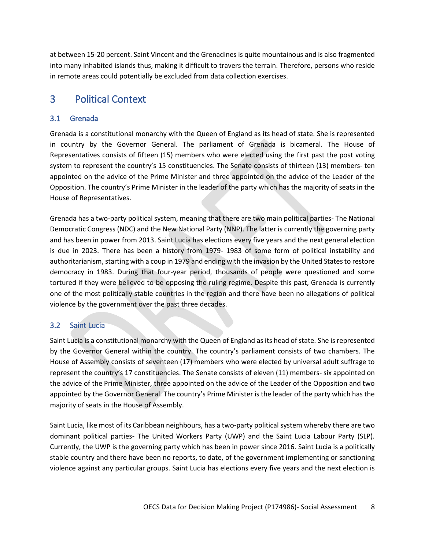<span id="page-8-0"></span>at between 15-20 percent. Saint Vincent and the Grenadines is quite mountainous and is also fragmented into many inhabited islands thus, making it difficult to travers the terrain. Therefore, persons who reside in remote areas could potentially be excluded from data collection exercises.

# 3 Political Context

# <span id="page-8-1"></span>3.1 Grenada

Grenada is a constitutional monarchy with the Queen of England as its head of state. She is represented in country by the Governor General. The parliament of Grenada is bicameral. The House of Representatives consists of fifteen (15) members who were elected using the first past the post voting system to represent the country's 15 constituencies. The Senate consists of thirteen (13) members- ten appointed on the advice of the Prime Minister and three appointed on the advice of the Leader of the Opposition. The country's Prime Minister in the leader of the party which has the majority of seats in the House of Representatives.

Grenada has a two-party political system, meaning that there are two main political parties- The National Democratic Congress (NDC) and the New National Party (NNP). The latter is currently the governing party and has been in power from 2013. Saint Lucia has elections every five years and the next general election is due in 2023. There has been a history from 1979- 1983 of some form of political instability and authoritarianism, starting with a coup in 1979 and ending with the invasion by the United States to restore democracy in 1983. During that four-year period, thousands of people were questioned and some tortured if they were believed to be opposing the ruling regime. Despite this past, Grenada is currently one of the most politically stable countries in the region and there have been no allegations of political violence by the government over the past three decades.

# <span id="page-8-2"></span>3.2 Saint Lucia

Saint Lucia is a constitutional monarchy with the Queen of England as its head of state. She is represented by the Governor General within the country. The country's parliament consists of two chambers. The House of Assembly consists of seventeen (17) members who were elected by universal adult suffrage to represent the country's 17 constituencies. The Senate consists of eleven (11) members- six appointed on the advice of the Prime Minister, three appointed on the advice of the Leader of the Opposition and two appointed by the Governor General. The country's Prime Minister is the leader of the party which has the majority of seats in the House of Assembly.

Saint Lucia, like most of its Caribbean neighbours, has a two-party political system whereby there are two dominant political parties- The United Workers Party (UWP) and the Saint Lucia Labour Party (SLP). Currently, the UWP is the governing party which has been in power since 2016. Saint Lucia is a politically stable country and there have been no reports, to date, of the government implementing or sanctioning violence against any particular groups. Saint Lucia has elections every five years and the next election is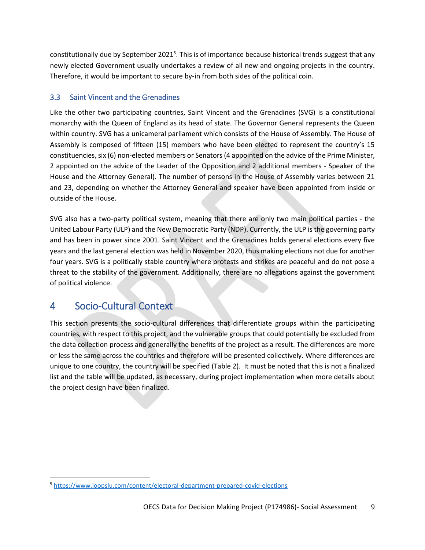constitutionally due by September 2021<sup>5</sup>. This is of importance because historical trends suggest that any newly elected Government usually undertakes a review of all new and ongoing projects in the country. Therefore, it would be important to secure by-in from both sides of the political coin.

# <span id="page-9-0"></span>3.3 Saint Vincent and the Grenadines

Like the other two participating countries, Saint Vincent and the Grenadines (SVG) is a constitutional monarchy with the Queen of England as its head of state. The Governor General represents the Queen within country. SVG has a unicameral parliament which consists of the House of Assembly. The House of Assembly is composed of fifteen (15) members who have been elected to represent the country's 15 constituencies, six (6) non-elected members or Senators (4 appointed on the advice of the Prime Minister, 2 appointed on the advice of the Leader of the Opposition and 2 additional members - Speaker of the House and the Attorney General). The number of persons in the House of Assembly varies between 21 and 23, depending on whether the Attorney General and speaker have been appointed from inside or outside of the House.

SVG also has a two-party political system, meaning that there are only two main political parties - the United Labour Party (ULP) and the New Democratic Party (NDP). Currently, the ULP is the governing party and has been in power since 2001. Saint Vincent and the Grenadines holds general elections every five years and the last general election was held in November 2020, thus making elections not due for another four years. SVG is a politically stable country where protests and strikes are peaceful and do not pose a threat to the stability of the government. Additionally, there are no allegations against the government of political violence.

# <span id="page-9-1"></span>4 Socio-Cultural Context

 $\overline{\phantom{a}}$ 

This section presents the socio-cultural differences that differentiate groups within the participating countries, with respect to this project, and the vulnerable groups that could potentially be excluded from the data collection process and generally the benefits of the project as a result. The differences are more or less the same across the countries and therefore will be presented collectively. Where differences are unique to one country, the country will be specified [\(Table 2\)](#page-10-3). It must be noted that this is not a finalized list and the table will be updated, as necessary, during project implementation when more details about the project design have been finalized.

<sup>5</sup> <https://www.loopslu.com/content/electoral-department-prepared-covid-elections>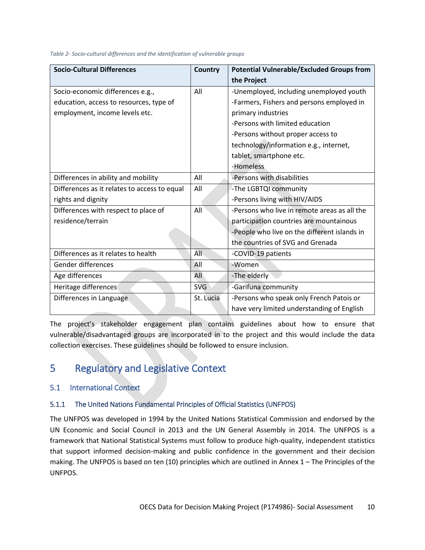| <b>Socio-Cultural Differences</b>            | Country    | <b>Potential Vulnerable/Excluded Groups from</b> |
|----------------------------------------------|------------|--------------------------------------------------|
|                                              |            | the Project                                      |
| Socio-economic differences e.g.,             | All        | -Unemployed, including unemployed youth          |
| education, access to resources, type of      |            | -Farmers, Fishers and persons employed in        |
| employment, income levels etc.               |            | primary industries                               |
|                                              |            | -Persons with limited education                  |
|                                              |            | -Persons without proper access to                |
|                                              |            | technology/information e.g., internet,           |
|                                              |            | tablet, smartphone etc.                          |
|                                              |            | -Homeless                                        |
| Differences in ability and mobility          | All        | -Persons with disabilities                       |
| Differences as it relates to access to equal | All        | -The LGBTQI community                            |
| rights and dignity                           |            | -Persons living with HIV/AIDS                    |
| Differences with respect to place of         | All        | -Persons who live in remote areas as all the     |
| residence/terrain                            |            | participation countries are mountainous          |
|                                              |            | -People who live on the different islands in     |
|                                              |            | the countries of SVG and Grenada                 |
| Differences as it relates to health          | All        | -COVID-19 patients                               |
| Gender differences                           | All        | -Women                                           |
| Age differences                              | All        | -The elderly                                     |
| Heritage differences                         | <b>SVG</b> | -Garifuna community                              |
| Differences in Language                      | St. Lucia  | -Persons who speak only French Patois or         |
|                                              |            | have very limited understanding of English       |

<span id="page-10-3"></span>*Table 2- Socio-cultural differences and the identification of vulnerable groups*

The project's stakeholder engagement plan contains guidelines about how to ensure that vulnerable/disadvantaged groups are incorporated in to the project and this would include the data collection exercises. These guidelines should be followed to ensure inclusion.

# <span id="page-10-0"></span>5 Regulatory and Legislative Context

# <span id="page-10-1"></span>5.1 International Context

# <span id="page-10-2"></span>5.1.1 The United Nations Fundamental Principles of Official Statistics (UNFPOS)

The UNFPOS was developed in 1994 by the United Nations Statistical Commission and endorsed by the UN Economic and Social Council in 2013 and the UN General Assembly in 2014. The UNFPOS is a framework that National Statistical Systems must follow to produce high-quality, independent statistics that support informed decision-making and public confidence in the government and their decision making. The UNFPOS is based on ten (10) principles which are outlined in Annex 1 – [The Principles of the](#page-18-0)  [UNFPOS.](#page-18-0)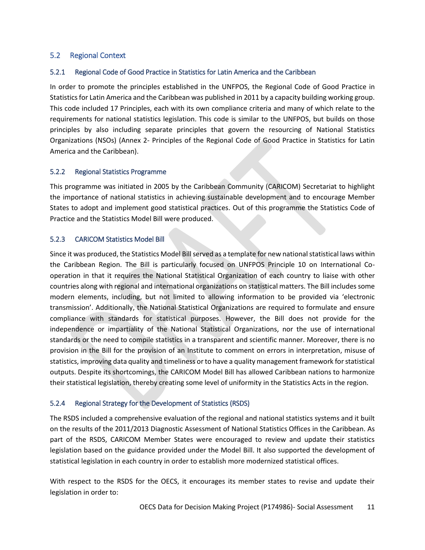# <span id="page-11-0"></span>5.2 Regional Context

### <span id="page-11-1"></span>5.2.1 Regional Code of Good Practice in Statistics for Latin America and the Caribbean

In order to promote the principles established in the UNFPOS, the Regional Code of Good Practice in Statistics for Latin America and the Caribbean was published in 2011 by a capacity building working group. This code included 17 Principles, each with its own compliance criteria and many of which relate to the requirements for national statistics legislation. This code is similar to the UNFPOS, but builds on those principles by also including separate principles that govern the resourcing of National Statistics Organizations (NSOs) (Annex 2- [Principles of the Regional Code of Good Practice in Statistics for Latin](#page-20-0)  [America and the Caribbean\)](#page-20-0).

#### <span id="page-11-2"></span>5.2.2 Regional Statistics Programme

This programme was initiated in 2005 by the Caribbean Community (CARICOM) Secretariat to highlight the importance of national statistics in achieving sustainable development and to encourage Member States to adopt and implement good statistical practices. Out of this programme the Statistics Code of Practice and the Statistics Model Bill were produced.

### <span id="page-11-3"></span>5.2.3 CARICOM Statistics Model Bill

Since it was produced, the Statistics Model Bill served as a template for new national statistical laws within the Caribbean Region. The Bill is particularly focused on UNFPOS Principle 10 on International Cooperation in that it requires the National Statistical Organization of each country to liaise with other countries along with regional and international organizations on statistical matters. The Bill includes some modern elements, including, but not limited to allowing information to be provided via 'electronic transmission'. Additionally, the National Statistical Organizations are required to formulate and ensure compliance with standards for statistical purposes. However, the Bill does not provide for the independence or impartiality of the National Statistical Organizations, nor the use of international standards or the need to compile statistics in a transparent and scientific manner. Moreover, there is no provision in the Bill for the provision of an Institute to comment on errors in interpretation, misuse of statistics, improving data quality and timeliness or to have a quality management framework for statistical outputs. Despite its shortcomings, the CARICOM Model Bill has allowed Caribbean nations to harmonize their statistical legislation, thereby creating some level of uniformity in the Statistics Acts in the region.

## <span id="page-11-4"></span>5.2.4 Regional Strategy for the Development of Statistics (RSDS)

The RSDS included a comprehensive evaluation of the regional and national statistics systems and it built on the results of the 2011/2013 Diagnostic Assessment of National Statistics Offices in the Caribbean. As part of the RSDS, CARICOM Member States were encouraged to review and update their statistics legislation based on the guidance provided under the Model Bill. It also supported the development of statistical legislation in each country in order to establish more modernized statistical offices.

With respect to the RSDS for the OECS, it encourages its member states to revise and update their legislation in order to: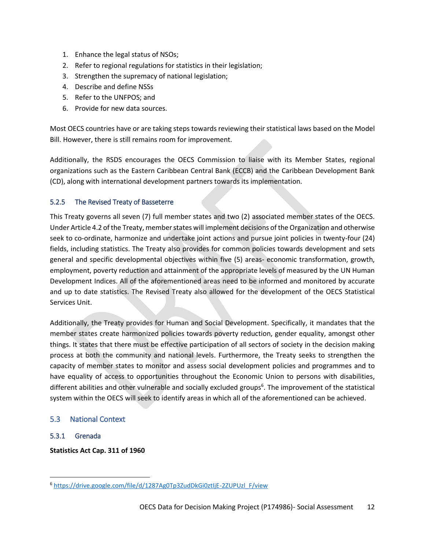- 1. Enhance the legal status of NSOs;
- 2. Refer to regional regulations for statistics in their legislation;
- 3. Strengthen the supremacy of national legislation;
- 4. Describe and define NSSs
- 5. Refer to the UNFPOS; and
- 6. Provide for new data sources.

Most OECS countries have or are taking steps towards reviewing their statistical laws based on the Model Bill. However, there is still remains room for improvement.

Additionally, the RSDS encourages the OECS Commission to liaise with its Member States, regional organizations such as the Eastern Caribbean Central Bank (ECCB) and the Caribbean Development Bank (CD), along with international development partners towards its implementation.

## <span id="page-12-0"></span>5.2.5 The Revised Treaty of Basseterre

This Treaty governs all seven (7) full member states and two (2) associated member states of the OECS. Under Article 4.2 of the Treaty, member states will implement decisions of the Organization and otherwise seek to co-ordinate, harmonize and undertake joint actions and pursue joint policies in twenty-four (24) fields, including statistics. The Treaty also provides for common policies towards development and sets general and specific developmental objectives within five (5) areas- economic transformation, growth, employment, poverty reduction and attainment of the appropriate levels of measured by the UN Human Development Indices. All of the aforementioned areas need to be informed and monitored by accurate and up to date statistics. The Revised Treaty also allowed for the development of the OECS Statistical Services Unit.

Additionally, the Treaty provides for Human and Social Development. Specifically, it mandates that the member states create harmonized policies towards poverty reduction, gender equality, amongst other things. It states that there must be effective participation of all sectors of society in the decision making process at both the community and national levels. Furthermore, the Treaty seeks to strengthen the capacity of member states to monitor and assess social development policies and programmes and to have equality of access to opportunities throughout the Economic Union to persons with disabilities, different abilities and other vulnerable and socially excluded groups<sup>6</sup>. The improvement of the statistical system within the OECS will seek to identify areas in which all of the aforementioned can be achieved.

## <span id="page-12-1"></span>5.3 National Context

## <span id="page-12-2"></span>5.3.1 Grenada

 $\overline{\phantom{a}}$ 

**Statistics Act Cap. 311 of 1960**

<sup>6</sup> [https://drive.google.com/file/d/1287Ag0Tp3ZudDkGi0ztIjE-2ZUPUzl\\_F/view](https://drive.google.com/file/d/1287Ag0Tp3ZudDkGi0ztIjE-2ZUPUzl_F/view)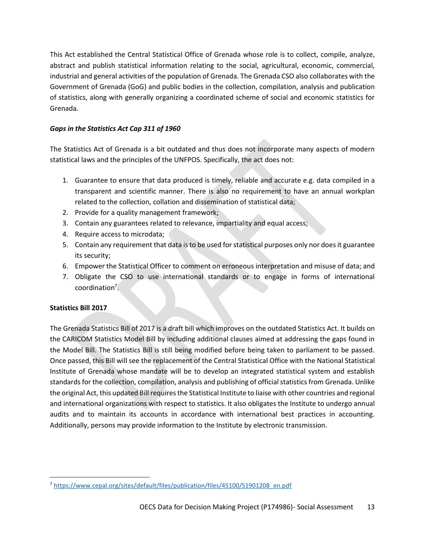This Act established the Central Statistical Office of Grenada whose role is to collect, compile, analyze, abstract and publish statistical information relating to the social, agricultural, economic, commercial, industrial and general activities of the population of Grenada. The Grenada CSO also collaborates with the Government of Grenada (GoG) and public bodies in the collection, compilation, analysis and publication of statistics, along with generally organizing a coordinated scheme of social and economic statistics for Grenada.

## *Gaps in the Statistics Act Cap 311 of 1960*

The Statistics Act of Grenada is a bit outdated and thus does not incorporate many aspects of modern statistical laws and the principles of the UNFPOS. Specifically, the act does not:

- 1. Guarantee to ensure that data produced is timely, reliable and accurate e.g. data compiled in a transparent and scientific manner. There is also no requirement to have an annual workplan related to the collection, collation and dissemination of statistical data;
- 2. Provide for a quality management framework;
- 3. Contain any guarantees related to relevance, impartiality and equal access;
- 4. Require access to microdata;
- 5. Contain any requirement that data is to be used for statistical purposes only nor does it guarantee its security;
- 6. Empower the Statistical Officer to comment on erroneous interpretation and misuse of data; and
- 7. Obligate the CSO to use international standards or to engage in forms of international coordination<sup>7</sup>.

# **Statistics Bill 2017**

 $\overline{\phantom{a}}$ 

The Grenada Statistics Bill of 2017 is a draft bill which improves on the outdated Statistics Act. It builds on the CARICOM Statistics Model Bill by including additional clauses aimed at addressing the gaps found in the Model Bill. The Statistics Bill is still being modified before being taken to parliament to be passed. Once passed, this Bill will see the replacement of the Central Statistical Office with the National Statistical Institute of Grenada whose mandate will be to develop an integrated statistical system and establish standards for the collection, compilation, analysis and publishing of official statistics from Grenada. Unlike the original Act, this updated Bill requires the Statistical Institute to liaise with other countries and regional and international organizations with respect to statistics. It also obligates the Institute to undergo annual audits and to maintain its accounts in accordance with international best practices in accounting. Additionally, persons may provide information to the Institute by electronic transmission.

<sup>7</sup> [https://www.cepal.org/sites/default/files/publication/files/45100/S1901208\\_en.pdf](https://www.cepal.org/sites/default/files/publication/files/45100/S1901208_en.pdf)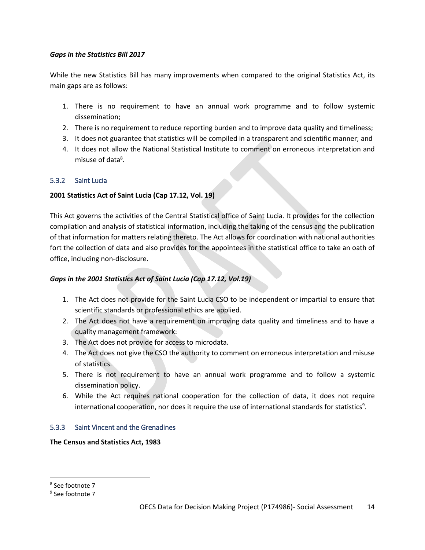### *Gaps in the Statistics Bill 2017*

While the new Statistics Bill has many improvements when compared to the original Statistics Act, its main gaps are as follows:

- 1. There is no requirement to have an annual work programme and to follow systemic dissemination;
- 2. There is no requirement to reduce reporting burden and to improve data quality and timeliness;
- 3. It does not guarantee that statistics will be compiled in a transparent and scientific manner; and
- 4. It does not allow the National Statistical Institute to comment on erroneous interpretation and misuse of data<sup>8</sup>.

## <span id="page-14-0"></span>5.3.2 Saint Lucia

### **2001 Statistics Act of Saint Lucia (Cap 17.12, Vol. 19)**

This Act governs the activities of the Central Statistical office of Saint Lucia. It provides for the collection compilation and analysis of statistical information, including the taking of the census and the publication of that information for matters relating thereto. The Act allows for coordination with national authorities fort the collection of data and also provides for the appointees in the statistical office to take an oath of office, including non-disclosure.

## *Gaps in the 2001 Statistics Act of Saint Lucia (Cap 17.12, Vol.19)*

- 1. The Act does not provide for the Saint Lucia CSO to be independent or impartial to ensure that scientific standards or professional ethics are applied.
- 2. The Act does not have a requirement on improving data quality and timeliness and to have a quality management framework:
- 3. The Act does not provide for access to microdata.
- 4. The Act does not give the CSO the authority to comment on erroneous interpretation and misuse of statistics.
- 5. There is not requirement to have an annual work programme and to follow a systemic dissemination policy.
- 6. While the Act requires national cooperation for the collection of data, it does not require international cooperation, nor does it require the use of international standards for statistics<sup>9</sup>.

## <span id="page-14-1"></span>5.3.3 Saint Vincent and the Grenadines

#### **The Census and Statistics Act, 1983**

 $\overline{\phantom{a}}$ 

<sup>8</sup> See footnote 7

<sup>&</sup>lt;sup>9</sup> See footnote 7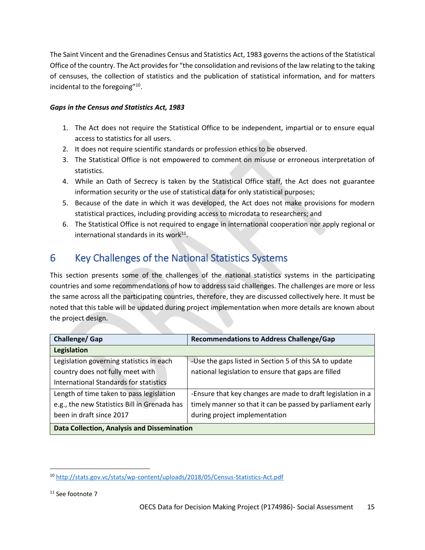The Saint Vincent and the Grenadines Census and Statistics Act, 1983 governs the actions of the Statistical Office of the country. The Act provides for "the consolidation and revisions of the law relating to the taking of censuses, the collection of statistics and the publication of statistical information, and for matters incidental to the foregoing"<sup>10</sup>.

# *Gaps in the Census and Statistics Act, 1983*

- 1. The Act does not require the Statistical Office to be independent, impartial or to ensure equal access to statistics for all users.
- 2. It does not require scientific standards or profession ethics to be observed.
- 3. The Statistical Office is not empowered to comment on misuse or erroneous interpretation of statistics.
- 4. While an Oath of Secrecy is taken by the Statistical Office staff, the Act does not guarantee information security or the use of statistical data for only statistical purposes;
- 5. Because of the date in which it was developed, the Act does not make provisions for modern statistical practices, including providing access to microdata to researchers; and
- 6. The Statistical Office is not required to engage in international cooperation nor apply regional or international standards in its work $^{11}$ .

# <span id="page-15-0"></span>6 Key Challenges of the National Statistics Systems

This section presents some of the challenges of the national statistics systems in the participating countries and some recommendations of how to address said challenges. The challenges are more or less the same across all the participating countries, therefore, they are discussed collectively here. It must be noted that this table will be updated during project implementation when more details are known about the project design.

| <b>Challenge/ Gap</b>                              | <b>Recommendations to Address Challenge/Gap</b>             |
|----------------------------------------------------|-------------------------------------------------------------|
| Legislation                                        |                                                             |
| Legislation governing statistics in each           | -Use the gaps listed in Section 5 of this SA to update      |
| country does not fully meet with                   | national legislation to ensure that gaps are filled         |
| International Standards for statistics             |                                                             |
| Length of time taken to pass legislation           | -Ensure that key changes are made to draft legislation in a |
| e.g., the new Statistics Bill in Grenada has       | timely manner so that it can be passed by parliament early  |
| been in draft since 2017                           | during project implementation                               |
| <b>Data Collection, Analysis and Dissemination</b> |                                                             |

 $\overline{a}$ <sup>10</sup> <http://stats.gov.vc/stats/wp-content/uploads/2018/05/Census-Statistics-Act.pdf>

<sup>&</sup>lt;sup>11</sup> See footnote 7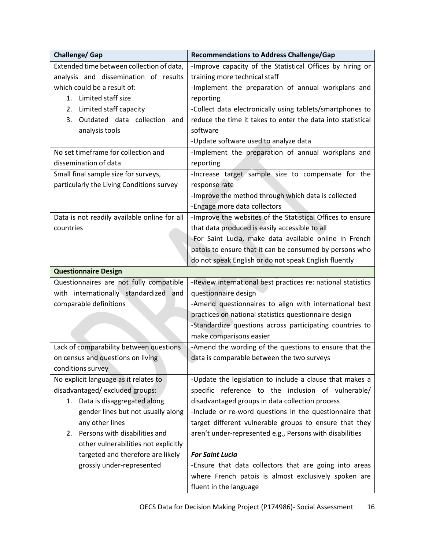| Challenge/ Gap                               | <b>Recommendations to Address Challenge/Gap</b>              |
|----------------------------------------------|--------------------------------------------------------------|
| Extended time between collection of data,    | -Improve capacity of the Statistical Offices by hiring or    |
| analysis and dissemination of results        | training more technical staff                                |
| which could be a result of:                  | -Implement the preparation of annual workplans and           |
| 1. Limited staff size                        | reporting                                                    |
| Limited staff capacity<br>2.                 | -Collect data electronically using tablets/smartphones to    |
| Outdated data collection and<br>3.           | reduce the time it takes to enter the data into statistical  |
| analysis tools                               | software                                                     |
|                                              | -Update software used to analyze data                        |
| No set timeframe for collection and          | -Implement the preparation of annual workplans and           |
| dissemination of data                        | reporting                                                    |
| Small final sample size for surveys,         | -Increase target sample size to compensate for the           |
| particularly the Living Conditions survey    | response rate                                                |
|                                              | -Improve the method through which data is collected          |
|                                              | -Engage more data collectors                                 |
| Data is not readily available online for all | -Improve the websites of the Statistical Offices to ensure   |
| countries                                    | that data produced is easily accessible to all               |
|                                              | -For Saint Lucia, make data available online in French       |
|                                              | patois to ensure that it can be consumed by persons who      |
|                                              | do not speak English or do not speak English fluently        |
| <b>Questionnaire Design</b>                  |                                                              |
| Questionnaires are not fully compatible      | -Review international best practices re: national statistics |
| with internationally standardized and        | questionnaire design                                         |
| comparable definitions                       | -Amend questionnaires to align with international best       |
|                                              | practices on national statistics questionnaire design        |
|                                              | -Standardize questions across participating countries to     |
|                                              | make comparisons easier                                      |
| Lack of comparability between questions      | -Amend the wording of the questions to ensure that the       |
| on census and questions on living            | data is comparable between the two surveys                   |
| conditions survey                            |                                                              |
| No explicit language as it relates to        | -Update the legislation to include a clause that makes a     |
| disadvantaged/excluded groups:               | specific reference to the inclusion of vulnerable/           |
| Data is disaggregated along<br>1.            | disadvantaged groups in data collection process              |
| gender lines but not usually along           | -Include or re-word questions in the questionnaire that      |
| any other lines                              | target different vulnerable groups to ensure that they       |
| Persons with disabilities and<br>2.          | aren't under-represented e.g., Persons with disabilities     |
| other vulnerabilities not explicitly         |                                                              |
| targeted and therefore are likely            | <b>For Saint Lucia</b>                                       |
| grossly under-represented                    | -Ensure that data collectors that are going into areas       |
|                                              | where French patois is almost exclusively spoken are         |
|                                              | fluent in the language                                       |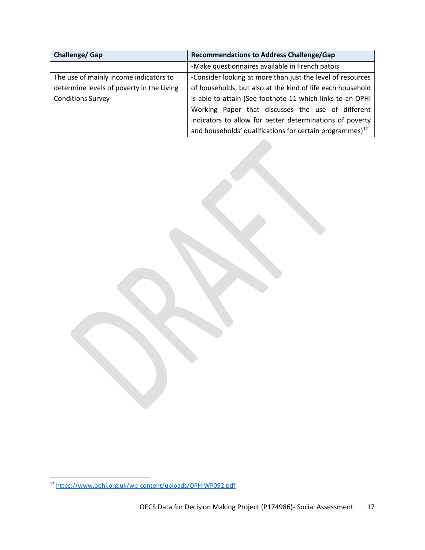| Challenge/Gap                             | <b>Recommendations to Address Challenge/Gap</b>                      |
|-------------------------------------------|----------------------------------------------------------------------|
|                                           | -Make questionnaires available in French patois                      |
| The use of mainly income indicators to    | -Consider looking at more than just the level of resources           |
| determine levels of poverty in the Living | of households, but also at the kind of life each household           |
| <b>Conditions Survey</b>                  | is able to attain (See footnote 11 which links to an OPHI            |
|                                           | Working Paper that discusses the use of different                    |
|                                           | indicators to allow for better determinations of poverty             |
|                                           | and households' qualifications for certain programmes) <sup>12</sup> |

 $\overline{\phantom{a}}$ 

<sup>12</sup> <https://www.ophi.org.uk/wp-content/uploads/OPHIWP092.pdf>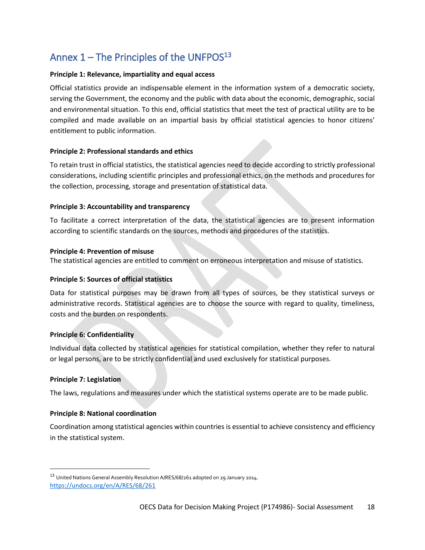# <span id="page-18-0"></span>Annex  $1$  – The Principles of the UNFPOS $13$

### **Principle 1: Relevance, impartiality and equal access**

Official statistics provide an indispensable element in the information system of a democratic society, serving the Government, the economy and the public with data about the economic, demographic, social and environmental situation. To this end, official statistics that meet the test of practical utility are to be compiled and made available on an impartial basis by official statistical agencies to honor citizens' entitlement to public information.

### **Principle 2: Professional standards and ethics**

To retain trust in official statistics, the statistical agencies need to decide according to strictly professional considerations, including scientific principles and professional ethics, on the methods and procedures for the collection, processing, storage and presentation of statistical data.

### **Principle 3: Accountability and transparency**

To facilitate a correct interpretation of the data, the statistical agencies are to present information according to scientific standards on the sources, methods and procedures of the statistics.

#### **Principle 4: Prevention of misuse**

The statistical agencies are entitled to comment on erroneous interpretation and misuse of statistics.

### **Principle 5: Sources of official statistics**

Data for statistical purposes may be drawn from all types of sources, be they statistical surveys or administrative records. Statistical agencies are to choose the source with regard to quality, timeliness, costs and the burden on respondents.

## **Principle 6: Confidentiality**

Individual data collected by statistical agencies for statistical compilation, whether they refer to natural or legal persons, are to be strictly confidential and used exclusively for statistical purposes.

#### **Principle 7: Legislation**

 $\overline{a}$ 

The laws, regulations and measures under which the statistical systems operate are to be made public.

#### **Principle 8: National coordination**

Coordination among statistical agencies within countries is essential to achieve consistency and efficiency in the statistical system.

<sup>13</sup> United Nations General Assembly Resolution A/RES/68/261 adopted on 29 January 2014. <https://undocs.org/en/A/RES/68/261>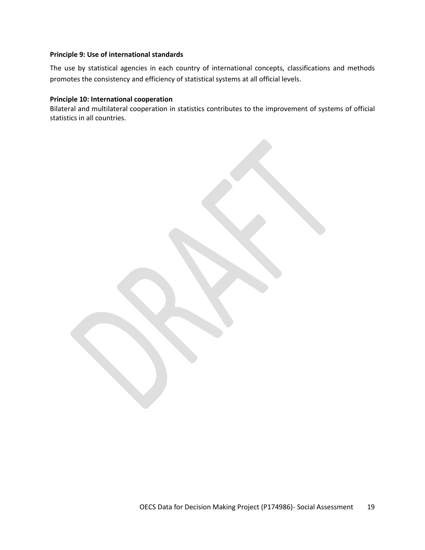#### **Principle 9: Use of international standards**

The use by statistical agencies in each country of international concepts, classifications and methods promotes the consistency and efficiency of statistical systems at all official levels.

### **Principle 10: International cooperation**

Bilateral and multilateral cooperation in statistics contributes to the improvement of systems of official statistics in all countries.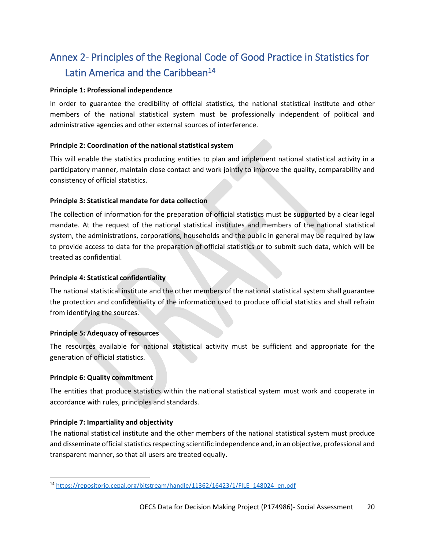# <span id="page-20-0"></span>Annex 2- Principles of the Regional Code of Good Practice in Statistics for Latin America and the Caribbean<sup>14</sup>

### **Principle 1: Professional independence**

In order to guarantee the credibility of official statistics, the national statistical institute and other members of the national statistical system must be professionally independent of political and administrative agencies and other external sources of interference.

### **Principle 2: Coordination of the national statistical system**

This will enable the statistics producing entities to plan and implement national statistical activity in a participatory manner, maintain close contact and work jointly to improve the quality, comparability and consistency of official statistics.

### **Principle 3: Statistical mandate for data collection**

The collection of information for the preparation of official statistics must be supported by a clear legal mandate. At the request of the national statistical institutes and members of the national statistical system, the administrations, corporations, households and the public in general may be required by law to provide access to data for the preparation of official statistics or to submit such data, which will be treated as confidential.

### **Principle 4: Statistical confidentiality**

The national statistical institute and the other members of the national statistical system shall guarantee the protection and confidentiality of the information used to produce official statistics and shall refrain from identifying the sources.

#### **Principle 5: Adequacy of resources**

The resources available for national statistical activity must be sufficient and appropriate for the generation of official statistics.

#### **Principle 6: Quality commitment**

 $\overline{\phantom{a}}$ 

The entities that produce statistics within the national statistical system must work and cooperate in accordance with rules, principles and standards.

## **Principle 7: Impartiality and objectivity**

The national statistical institute and the other members of the national statistical system must produce and disseminate official statistics respecting scientific independence and, in an objective, professional and transparent manner, so that all users are treated equally.

<sup>14</sup> [https://repositorio.cepal.org/bitstream/handle/11362/16423/1/FILE\\_148024\\_en.pdf](https://repositorio.cepal.org/bitstream/handle/11362/16423/1/FILE_148024_en.pdf)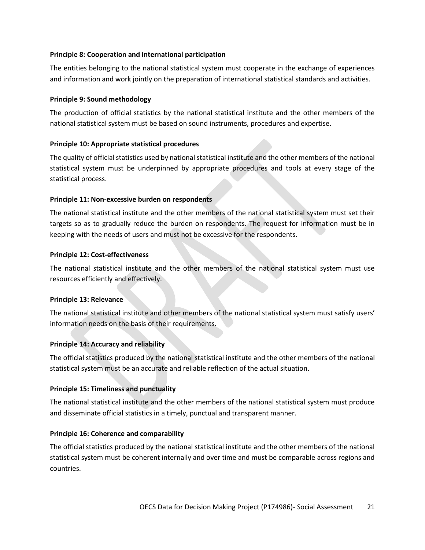### **Principle 8: Cooperation and international participation**

The entities belonging to the national statistical system must cooperate in the exchange of experiences and information and work jointly on the preparation of international statistical standards and activities.

### **Principle 9: Sound methodology**

The production of official statistics by the national statistical institute and the other members of the national statistical system must be based on sound instruments, procedures and expertise.

### **Principle 10: Appropriate statistical procedures**

The quality of official statistics used by national statistical institute and the other members of the national statistical system must be underpinned by appropriate procedures and tools at every stage of the statistical process.

### **Principle 11: Non-excessive burden on respondents**

The national statistical institute and the other members of the national statistical system must set their targets so as to gradually reduce the burden on respondents. The request for information must be in keeping with the needs of users and must not be excessive for the respondents.

### **Principle 12: Cost-effectiveness**

The national statistical institute and the other members of the national statistical system must use resources efficiently and effectively.

## **Principle 13: Relevance**

The national statistical institute and other members of the national statistical system must satisfy users' information needs on the basis of their requirements.

## **Principle 14: Accuracy and reliability**

The official statistics produced by the national statistical institute and the other members of the national statistical system must be an accurate and reliable reflection of the actual situation.

#### **Principle 15: Timeliness and punctuality**

The national statistical institute and the other members of the national statistical system must produce and disseminate official statistics in a timely, punctual and transparent manner.

## **Principle 16: Coherence and comparability**

The official statistics produced by the national statistical institute and the other members of the national statistical system must be coherent internally and over time and must be comparable across regions and countries.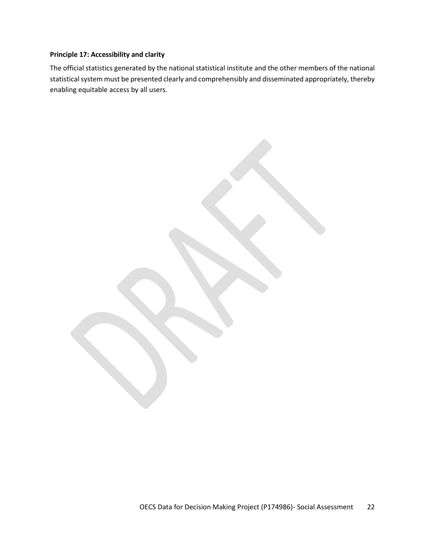# **Principle 17: Accessibility and clarity**

The official statistics generated by the national statistical institute and the other members of the national statistical system must be presented clearly and comprehensibly and disseminated appropriately, thereby enabling equitable access by all users.